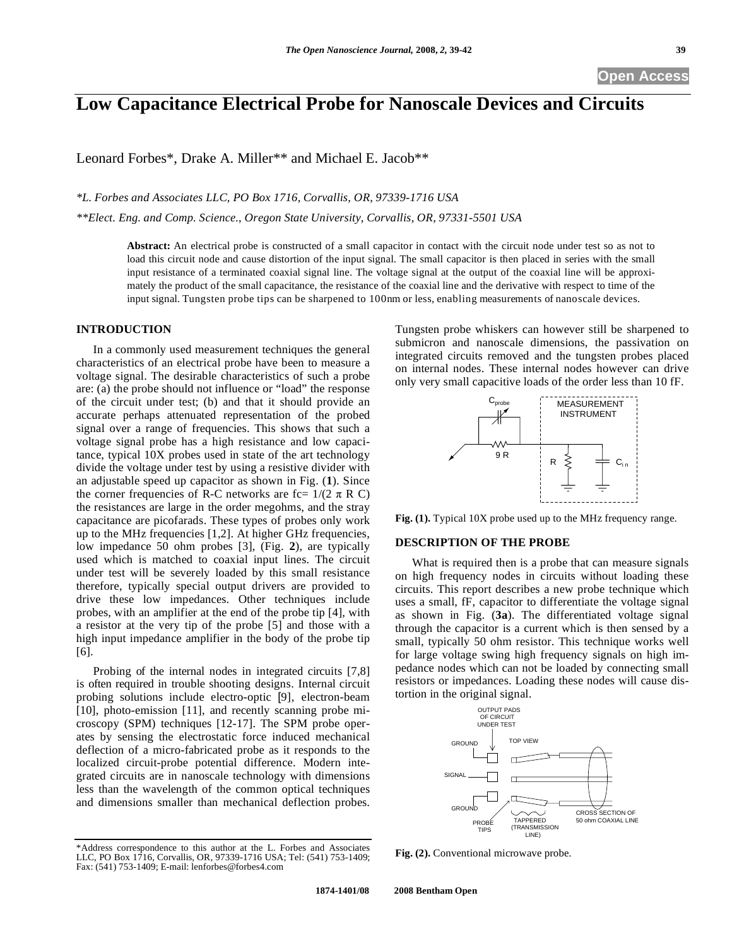# **Low Capacitance Electrical Probe for Nanoscale Devices and Circuits**

Leonard Forbes\*, Drake A. Miller\*\* and Michael E. Jacob\*\*

*\*L. Forbes and Associates LLC, PO Box 1716, Corvallis, OR, 97339-1716 USA* 

*\*\*Elect. Eng. and Comp. Science., Oregon State University, Corvallis, OR, 97331-5501 USA* 

**Abstract:** An electrical probe is constructed of a small capacitor in contact with the circuit node under test so as not to load this circuit node and cause distortion of the input signal. The small capacitor is then placed in series with the small input resistance of a terminated coaxial signal line. The voltage signal at the output of the coaxial line will be approximately the product of the small capacitance, the resistance of the coaxial line and the derivative with respect to time of the input signal. Tungsten probe tips can be sharpened to 100nm or less, enabling measurements of nanoscale devices.

# **INTRODUCTION**

In a commonly used measurement techniques the general characteristics of an electrical probe have been to measure a voltage signal. The desirable characteristics of such a probe are: (a) the probe should not influence or "load" the response of the circuit under test; (b) and that it should provide an accurate perhaps attenuated representation of the probed signal over a range of frequencies. This shows that such a voltage signal probe has a high resistance and low capacitance, typical 10X probes used in state of the art technology divide the voltage under test by using a resistive divider with an adjustable speed up capacitor as shown in Fig. (**1**). Since the corner frequencies of R-C networks are fc=  $1/(2 \pi R C)$ the resistances are large in the order megohms, and the stray capacitance are picofarads. These types of probes only work up to the MHz frequencies [1,2]. At higher GHz frequencies, low impedance 50 ohm probes [3], (Fig. **2**), are typically used which is matched to coaxial input lines. The circuit under test will be severely loaded by this small resistance therefore, typically special output drivers are provided to drive these low impedances. Other techniques include probes, with an amplifier at the end of the probe tip [4], with a resistor at the very tip of the probe [5] and those with a high input impedance amplifier in the body of the probe tip [6].

Probing of the internal nodes in integrated circuits [7,8] is often required in trouble shooting designs. Internal circuit probing solutions include electro-optic [9], electron-beam [10], photo-emission [11], and recently scanning probe microscopy (SPM) techniques [12-17]. The SPM probe operates by sensing the electrostatic force induced mechanical deflection of a micro-fabricated probe as it responds to the localized circuit-probe potential difference. Modern integrated circuits are in nanoscale technology with dimensions less than the wavelength of the common optical techniques and dimensions smaller than mechanical deflection probes.

Tungsten probe whiskers can however still be sharpened to submicron and nanoscale dimensions, the passivation on integrated circuits removed and the tungsten probes placed on internal nodes. These internal nodes however can drive only very small capacitive loads of the order less than 10 fF.



**Fig. (1).** Typical 10X probe used up to the MHz frequency range.

### **DESCRIPTION OF THE PROBE**

What is required then is a probe that can measure signals on high frequency nodes in circuits without loading these circuits. This report describes a new probe technique which uses a small, fF, capacitor to differentiate the voltage signal as shown in Fig. (**3a**). The differentiated voltage signal through the capacitor is a current which is then sensed by a small, typically 50 ohm resistor. This technique works well for large voltage swing high frequency signals on high impedance nodes which can not be loaded by connecting small resistors or impedances. Loading these nodes will cause distortion in the original signal.



**Fig. (2).** Conventional microwave probe.

<sup>\*</sup>Address correspondence to this author at the L. Forbes and Associates LLC, PO Box 1716, Corvallis, OR, 97339-1716 USA; Tel: (541) 753-1409; Fax: (541) 753-1409; E-mail: lenforbes@forbes4.com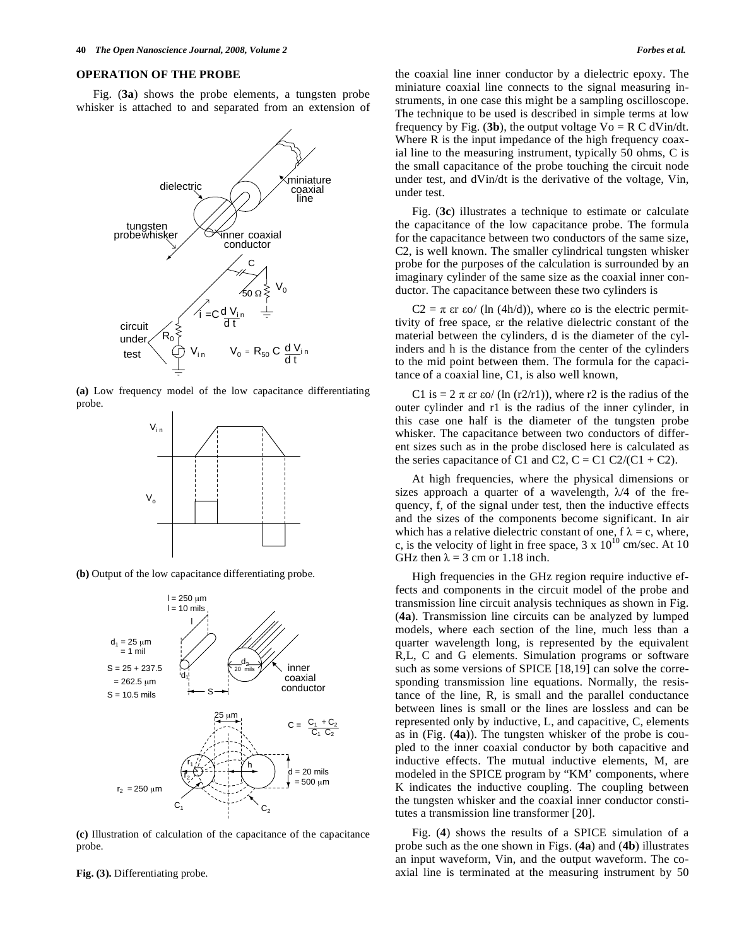Fig. (**3a**) shows the probe elements, a tungsten probe whisker is attached to and separated from an extension of



**(a)** Low frequency model of the low capacitance differentiating probe.



**(b)** Output of the low capacitance differentiating probe.



**(c)** Illustration of calculation of the capacitance of the capacitance probe.

the coaxial line inner conductor by a dielectric epoxy. The miniature coaxial line connects to the signal measuring instruments, in one case this might be a sampling oscilloscope. The technique to be used is described in simple terms at low frequency by Fig. (3b), the output voltage  $Vo = R C dV$ in/dt. Where R is the input impedance of the high frequency coaxial line to the measuring instrument, typically 50 ohms, C is the small capacitance of the probe touching the circuit node under test, and dVin/dt is the derivative of the voltage, Vin, under test.

Fig. (**3c**) illustrates a technique to estimate or calculate the capacitance of the low capacitance probe. The formula for the capacitance between two conductors of the same size, C2, is well known. The smaller cylindrical tungsten whisker probe for the purposes of the calculation is surrounded by an imaginary cylinder of the same size as the coaxial inner conductor. The capacitance between these two cylinders is

 $C2 = \pi$  are so/ (ln (4h/d)), where so is the electric permittivity of free space, ar the relative dielectric constant of the material between the cylinders, d is the diameter of the cylinders and h is the distance from the center of the cylinders to the mid point between them. The formula for the capacitance of a coaxial line, C1, is also well known,

C1 is =  $2 \pi$  ar so/ (ln (r2/r1)), where r2 is the radius of the outer cylinder and r1 is the radius of the inner cylinder, in this case one half is the diameter of the tungsten probe whisker. The capacitance between two conductors of different sizes such as in the probe disclosed here is calculated as the series capacitance of C1 and C2,  $C = C1 C2/(C1 + C2)$ .

At high frequencies, where the physical dimensions or sizes approach a quarter of a wavelength,  $\lambda/4$  of the frequency, f, of the signal under test, then the inductive effects and the sizes of the components become significant. In air which has a relative dielectric constant of one,  $f \lambda = c$ , where, c, is the velocity of light in free space,  $3 \times 10^{10}$  cm/sec. At 10 GHz then  $\lambda = 3$  cm or 1.18 inch.

High frequencies in the GHz region require inductive effects and components in the circuit model of the probe and transmission line circuit analysis techniques as shown in Fig. (**4a**). Transmission line circuits can be analyzed by lumped models, where each section of the line, much less than a quarter wavelength long, is represented by the equivalent R,L, C and G elements. Simulation programs or software such as some versions of SPICE [18,19] can solve the corresponding transmission line equations. Normally, the resistance of the line, R, is small and the parallel conductance between lines is small or the lines are lossless and can be represented only by inductive, L, and capacitive, C, elements as in (Fig. (**4a**)). The tungsten whisker of the probe is coupled to the inner coaxial conductor by both capacitive and inductive effects. The mutual inductive elements, M, are modeled in the SPICE program by "KM' components, where K indicates the inductive coupling. The coupling between the tungsten whisker and the coaxial inner conductor constitutes a transmission line transformer [20].

Fig. (**4**) shows the results of a SPICE simulation of a probe such as the one shown in Figs. (**4a**) and (**4b**) illustrates an input waveform, Vin, and the output waveform. The coaxial line is terminated at the measuring instrument by 50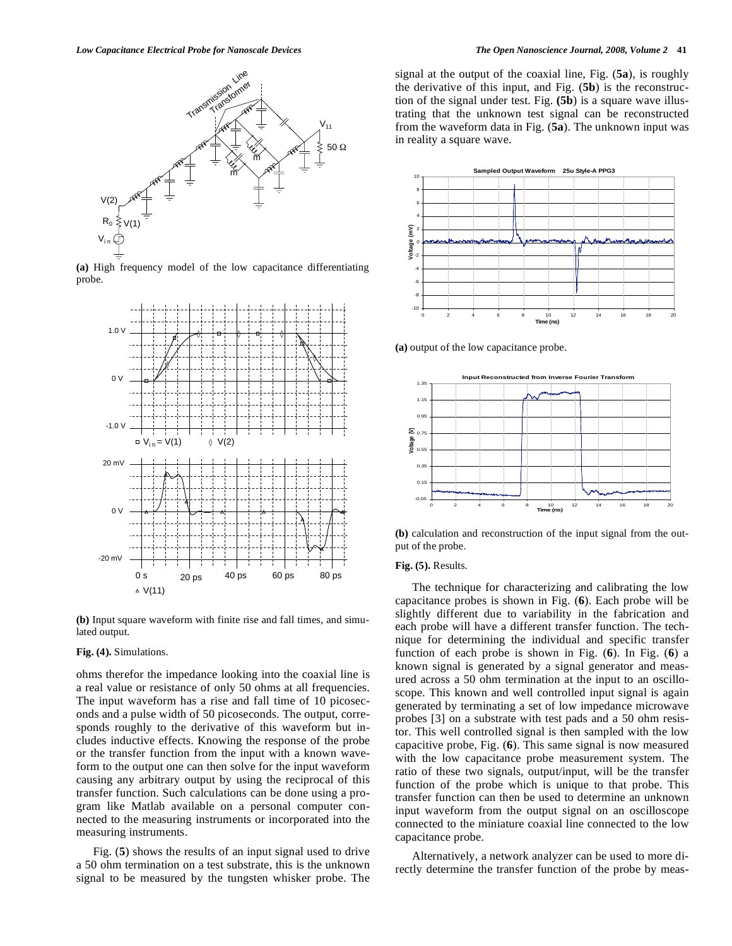

**(a)** High frequency model of the low capacitance differentiating probe.



**(b)** Input square waveform with finite rise and fall times, and simulated output.

#### **Fig. (4).** Simulations.

ohms therefor the impedance looking into the coaxial line is a real value or resistance of only 50 ohms at all frequencies. The input waveform has a rise and fall time of 10 picoseconds and a pulse width of 50 picoseconds. The output, corresponds roughly to the derivative of this waveform but includes inductive effects. Knowing the response of the probe or the transfer function from the input with a known waveform to the output one can then solve for the input waveform causing any arbitrary output by using the reciprocal of this transfer function. Such calculations can be done using a program like Matlab available on a personal computer connected to the measuring instruments or incorporated into the measuring instruments.

Fig. (**5**) shows the results of an input signal used to drive a 50 ohm termination on a test substrate, this is the unknown signal to be measured by the tungsten whisker probe. The signal at the output of the coaxial line, Fig. (**5a**), is roughly the derivative of this input, and Fig. (**5b**) is the reconstruction of the signal under test. Fig. **(5b**) is a square wave illustrating that the unknown test signal can be reconstructed from the waveform data in Fig. (**5a**). The unknown input was in reality a square wave.



**(a)** output of the low capacitance probe.



**(b)** calculation and reconstruction of the input signal from the output of the probe.

# **Fig. (5).** Results.

The technique for characterizing and calibrating the low capacitance probes is shown in Fig. (**6**). Each probe will be slightly different due to variability in the fabrication and each probe will have a different transfer function. The technique for determining the individual and specific transfer function of each probe is shown in Fig. (**6**). In Fig. (**6**) a known signal is generated by a signal generator and measured across a 50 ohm termination at the input to an oscilloscope. This known and well controlled input signal is again generated by terminating a set of low impedance microwave probes [3] on a substrate with test pads and a 50 ohm resistor. This well controlled signal is then sampled with the low capacitive probe, Fig. (**6**). This same signal is now measured with the low capacitance probe measurement system. The ratio of these two signals, output/input, will be the transfer function of the probe which is unique to that probe. This transfer function can then be used to determine an unknown input waveform from the output signal on an oscilloscope connected to the miniature coaxial line connected to the low capacitance probe.

Alternatively, a network analyzer can be used to more directly determine the transfer function of the probe by meas